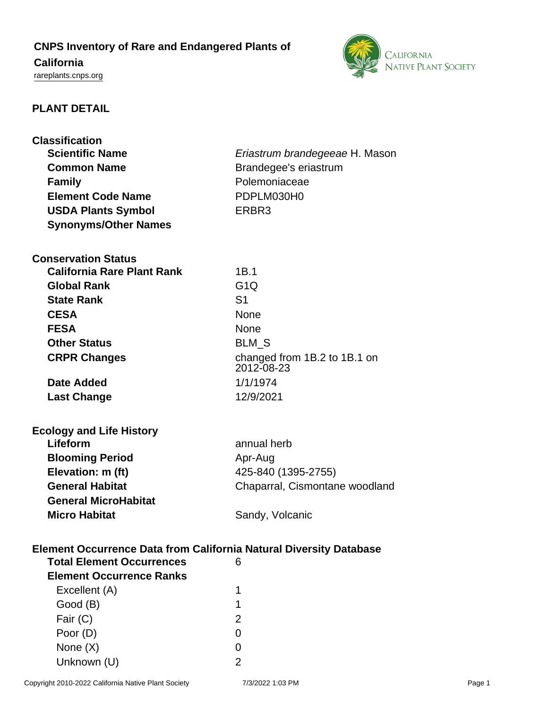# **CNPS Inventory of Rare and Endangered Plants of**

# **California**

<rareplants.cnps.org>



# **PLANT DETAIL**

| <b>Classification</b>                                                                                         |                                       |  |  |
|---------------------------------------------------------------------------------------------------------------|---------------------------------------|--|--|
| <b>Scientific Name</b>                                                                                        | <i>Eriastrum brandegeeae</i> H. Mason |  |  |
| <b>Common Name</b>                                                                                            | Brandegee's eriastrum                 |  |  |
| <b>Family</b>                                                                                                 | Polemoniaceae                         |  |  |
| <b>Element Code Name</b>                                                                                      | PDPLM030H0                            |  |  |
| <b>USDA Plants Symbol</b>                                                                                     | ERBR <sub>3</sub>                     |  |  |
| <b>Synonyms/Other Names</b>                                                                                   |                                       |  |  |
|                                                                                                               |                                       |  |  |
| <b>Conservation Status</b>                                                                                    |                                       |  |  |
| <b>California Rare Plant Rank</b>                                                                             | 1B.1                                  |  |  |
| <b>Global Rank</b>                                                                                            | G1Q                                   |  |  |
| <b>State Rank</b>                                                                                             | S <sub>1</sub>                        |  |  |
| <b>CESA</b>                                                                                                   | <b>None</b>                           |  |  |
| <b>FESA</b>                                                                                                   | <b>None</b>                           |  |  |
| <b>Other Status</b>                                                                                           | <b>BLM S</b>                          |  |  |
| <b>CRPR Changes</b>                                                                                           | changed from 1B.2 to 1B.1 on          |  |  |
|                                                                                                               | 2012-08-23                            |  |  |
| Date Added                                                                                                    | 1/1/1974                              |  |  |
| <b>Last Change</b>                                                                                            | 12/9/2021                             |  |  |
|                                                                                                               |                                       |  |  |
| <b>Ecology and Life History</b>                                                                               |                                       |  |  |
| Lifeform                                                                                                      | annual herb                           |  |  |
| <b>Blooming Period</b>                                                                                        | Apr-Aug                               |  |  |
| Elevation: m (ft)                                                                                             | 425-840 (1395-2755)                   |  |  |
| <b>General Habitat</b>                                                                                        | Chaparral, Cismontane woodland        |  |  |
| <b>General MicroHabitat</b>                                                                                   |                                       |  |  |
| <b>Micro Habitat</b>                                                                                          | Sandy, Volcanic                       |  |  |
|                                                                                                               |                                       |  |  |
|                                                                                                               |                                       |  |  |
| <b>Element Occurrence Data from California Natural Diversity Database</b><br><b>Total Element Occurrences</b> | 6                                     |  |  |
| <b>Element Occurrence Ranks</b>                                                                               |                                       |  |  |
| Excellent (A)                                                                                                 | 1                                     |  |  |
|                                                                                                               | 1                                     |  |  |
| Good (B)<br>Fair (C)                                                                                          | $\overline{2}$                        |  |  |
| Poor (D)                                                                                                      | 0                                     |  |  |
|                                                                                                               | 0                                     |  |  |
| None $(X)$                                                                                                    | 2                                     |  |  |
| Unknown (U)                                                                                                   |                                       |  |  |